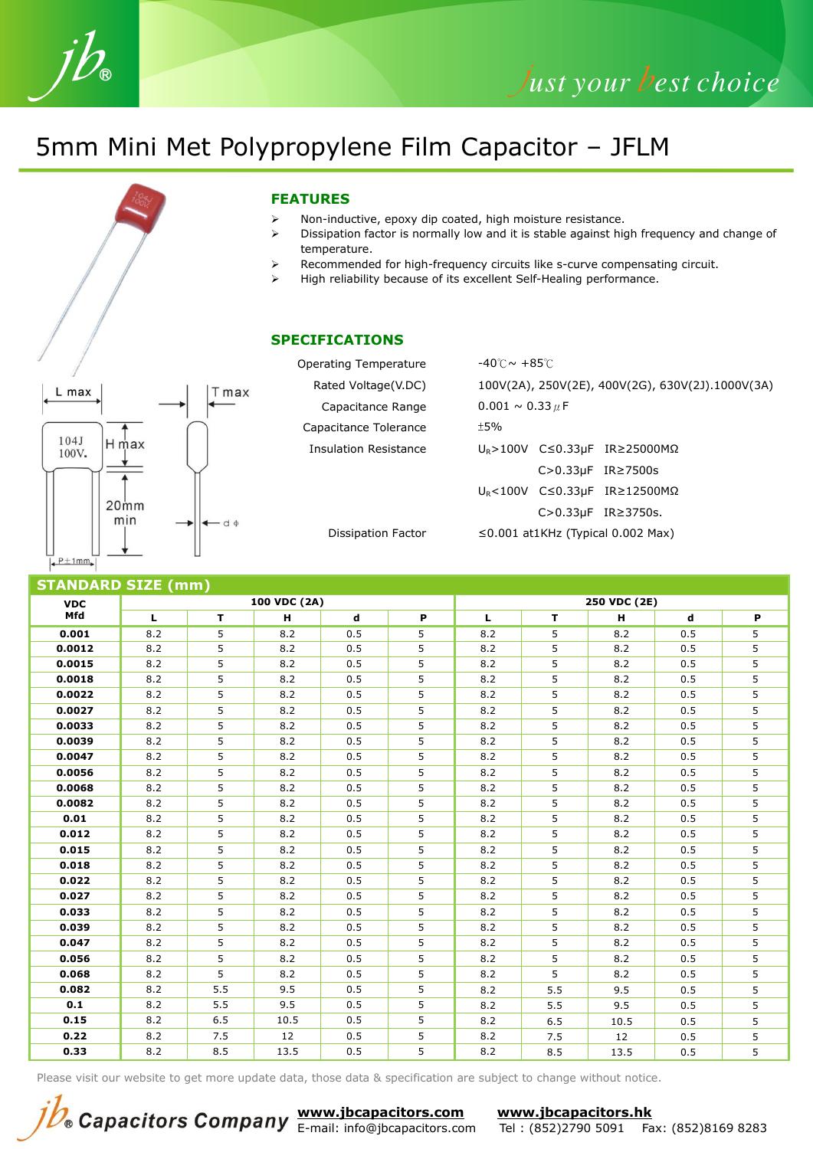## 5mm Mini Met Polypropylene Film Capacitor – JFLM

# $L$  max T max  $104J$ H max 100V.  $20<sub>mm</sub>$ min  $d$  $\frac{1}{2}$  P  $\pm$  1mm

### **FEATURES**

- $\triangleright$  Non-inductive, epoxy dip coated, high moisture resistance.
- $\triangleright$  Dissipation factor is normally low and it is stable against high frequency and change of temperature.
- $\triangleright$  Recommended for high-frequency circuits like s-curve compensating circuit.
- $\triangleright$  High reliability because of its excellent Self-Healing performance.

#### **SPECIFICATIONS**

Operating Temperature -40℃~ +85℃ Rated Voltage(V.DC) 100V(2A), 250V(2E), 400V(2G), 630V(2J).1000V(3A) Capacitance Range  $0.001 \sim 0.33 \mu$ F Capacitance Tolerance ±5% Insulation Resistance UR>100V C≤0.33µF IR≥25000MΩ C>0.33µF IR≥7500s UR<100V C≤0.33µF IR≥12500MΩ C>0.33µF IR≥3750s. Dissipation Factor ≤0.001 at1KHz (Typical 0.002 Max)

| <b>STANDARD SIZE (mm)</b> |     |     |              |     |   |              |     |      |     |   |  |
|---------------------------|-----|-----|--------------|-----|---|--------------|-----|------|-----|---|--|
| <b>VDC</b><br>Mfd         |     |     | 100 VDC (2A) |     |   | 250 VDC (2E) |     |      |     |   |  |
|                           | L   | T.  | н            | d   | P | L            | T   | н    | d   | P |  |
| 0.001                     | 8.2 | 5   | 8.2          | 0.5 | 5 | 8.2          | 5   | 8.2  | 0.5 | 5 |  |
| 0.0012                    | 8.2 | 5   | 8.2          | 0.5 | 5 | 8.2          | 5   | 8.2  | 0.5 | 5 |  |
| 0.0015                    | 8.2 | 5   | 8.2          | 0.5 | 5 | 8.2          | 5   | 8.2  | 0.5 | 5 |  |
| 0.0018                    | 8.2 | 5   | 8.2          | 0.5 | 5 | 8.2          | 5   | 8.2  | 0.5 | 5 |  |
| 0.0022                    | 8.2 | 5   | 8.2          | 0.5 | 5 | 8.2          | 5   | 8.2  | 0.5 | 5 |  |
| 0.0027                    | 8.2 | 5   | 8.2          | 0.5 | 5 | 8.2          | 5   | 8.2  | 0.5 | 5 |  |
| 0.0033                    | 8.2 | 5   | 8.2          | 0.5 | 5 | 8.2          | 5   | 8.2  | 0.5 | 5 |  |
| 0.0039                    | 8.2 | 5   | 8.2          | 0.5 | 5 | 8.2          | 5   | 8.2  | 0.5 | 5 |  |
| 0.0047                    | 8.2 | 5   | 8.2          | 0.5 | 5 | 8.2          | 5   | 8.2  | 0.5 | 5 |  |
| 0.0056                    | 8.2 | 5   | 8.2          | 0.5 | 5 | 8.2          | 5   | 8.2  | 0.5 | 5 |  |
| 0.0068                    | 8.2 | 5   | 8.2          | 0.5 | 5 | 8.2          | 5   | 8.2  | 0.5 | 5 |  |
| 0.0082                    | 8.2 | 5   | 8.2          | 0.5 | 5 | 8.2          | 5   | 8.2  | 0.5 | 5 |  |
| 0.01                      | 8.2 | 5   | 8.2          | 0.5 | 5 | 8.2          | 5   | 8.2  | 0.5 | 5 |  |
| 0.012                     | 8.2 | 5   | 8.2          | 0.5 | 5 | 8.2          | 5   | 8.2  | 0.5 | 5 |  |
| 0.015                     | 8.2 | 5   | 8.2          | 0.5 | 5 | 8.2          | 5   | 8.2  | 0.5 | 5 |  |
| 0.018                     | 8.2 | 5   | 8.2          | 0.5 | 5 | 8.2          | 5   | 8.2  | 0.5 | 5 |  |
| 0.022                     | 8.2 | 5   | 8.2          | 0.5 | 5 | 8.2          | 5   | 8.2  | 0.5 | 5 |  |
| 0.027                     | 8.2 | 5   | 8.2          | 0.5 | 5 | 8.2          | 5   | 8.2  | 0.5 | 5 |  |
| 0.033                     | 8.2 | 5   | 8.2          | 0.5 | 5 | 8.2          | 5   | 8.2  | 0.5 | 5 |  |
| 0.039                     | 8.2 | 5   | 8.2          | 0.5 | 5 | 8.2          | 5   | 8.2  | 0.5 | 5 |  |
| 0.047                     | 8.2 | 5   | 8.2          | 0.5 | 5 | 8.2          | 5   | 8.2  | 0.5 | 5 |  |
| 0.056                     | 8.2 | 5   | 8.2          | 0.5 | 5 | 8.2          | 5   | 8.2  | 0.5 | 5 |  |
| 0.068                     | 8.2 | 5   | 8.2          | 0.5 | 5 | 8.2          | 5   | 8.2  | 0.5 | 5 |  |
| 0.082                     | 8.2 | 5.5 | 9.5          | 0.5 | 5 | 8.2          | 5.5 | 9.5  | 0.5 | 5 |  |
| 0.1                       | 8.2 | 5.5 | 9.5          | 0.5 | 5 | 8.2          | 5.5 | 9.5  | 0.5 | 5 |  |
| 0.15                      | 8.2 | 6.5 | 10.5         | 0.5 | 5 | 8.2          | 6.5 | 10.5 | 0.5 | 5 |  |
| 0.22                      | 8.2 | 7.5 | 12           | 0.5 | 5 | 8.2          | 7.5 | 12   | 0.5 | 5 |  |
| 0.33                      | 8.2 | 8.5 | 13.5         | 0.5 | 5 | 8.2          | 8.5 | 13.5 | 0.5 | 5 |  |

Please visit our website to get more update data, those data & specification are subject to change without notice.